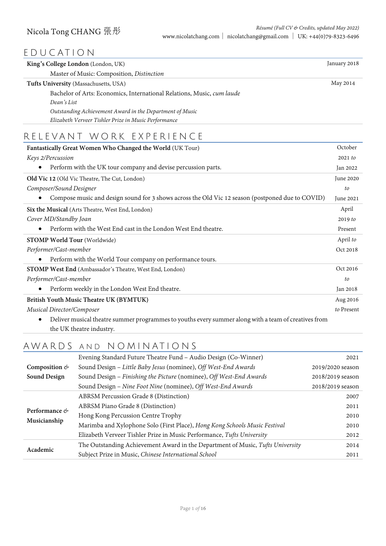# EDUCATION

| King's College London (London, UK)                                         | January 2018 |
|----------------------------------------------------------------------------|--------------|
| Master of Music: Composition, Distinction                                  |              |
| Tufts University (Massachusetts, USA)                                      | May 2014     |
| Bachelor of Arts: Economics, International Relations, Music, cum laude     |              |
| Dean's List                                                                |              |
| Outstanding Achievement Award in the Department of Music                   |              |
| Elizabeth Verveer Tishler Prize in Music Performance                       |              |
| RELEVANT WORK EXPERIENCE                                                   |              |
| Fantastically Great Women Who Changed the World (UK Tour)                  | October      |
| Keys 2/Percussion                                                          | 2021 to      |
| Perform with the UK tour company and devise percussion parts.<br>$\bullet$ | Jan 2022     |
| <b>Old Vic 12</b> (Old Vic Theatre, The Cut, London)                       | June 2020    |
| Composer/Sound Designer                                                    | $f_{\Omega}$ |

| Composer/Sound Designer                                                                                       | to         |
|---------------------------------------------------------------------------------------------------------------|------------|
| Compose music and design sound for 3 shows across the Old Vic 12 season (postponed due to COVID)<br>$\bullet$ | June 2021  |
| Six the Musical (Arts Theatre, West End, London)                                                              | April      |
| Cover MD/Standby Joan                                                                                         | 2019 to    |
| Perform with the West End cast in the London West End theatre.<br>$\bullet$                                   | Present    |
| <b>STOMP World Tour</b> (Worldwide)                                                                           | April to   |
| Performer/Cast-member                                                                                         | Oct 2018   |
| Perform with the World Tour company on performance tours.<br>$\bullet$                                        |            |
| <b>STOMP West End</b> (Ambassador's Theatre, West End, London)                                                | Oct 2016   |
| Performer/Cast-member                                                                                         | to         |
| Perform weekly in the London West End theatre.<br>$\bullet$                                                   | Jan 2018   |
| British Youth Music Theatre UK (BYMTUK)                                                                       | Aug 2016   |
| <b>Musical Director/Composer</b>                                                                              | to Present |

• Deliver musical theatre summer programmes to youths every summer along with a team of creatives from the UK theatre industry.

# AWARDS AND NOMINATIONS

|                            | Evening Standard Future Theatre Fund - Audio Design (Co-Winner)                | 2021             |
|----------------------------|--------------------------------------------------------------------------------|------------------|
| Composition $\mathfrak{G}$ | Sound Design - Little Baby Jesus (nominee), Off West-End Awards                | 2019/2020 season |
| <b>Sound Design</b>        | Sound Design - Finishing the Picture (nominee), Off West-End Awards            | 2018/2019 season |
|                            | Sound Design - Nine Foot Nine (nominee), Off West-End Awards                   | 2018/2019 season |
|                            | <b>ABRSM Percussion Grade 8 (Distinction)</b>                                  | 2007             |
|                            | ABRSM Piano Grade 8 (Distinction)                                              | 2011             |
| Performance &              | Hong Kong Percussion Centre Trophy                                             | 2010             |
| Musicianship               | Marimba and Xylophone Solo (First Place), Hong Kong Schools Music Festival     | 2010             |
|                            | Elizabeth Verveer Tishler Prize in Music Performance, Tufts University         | 2012             |
|                            | The Outstanding Achievement Award in the Department of Music, Tufts University | 2014             |
| Academic                   | Subject Prize in Music, Chinese International School                           | 2011             |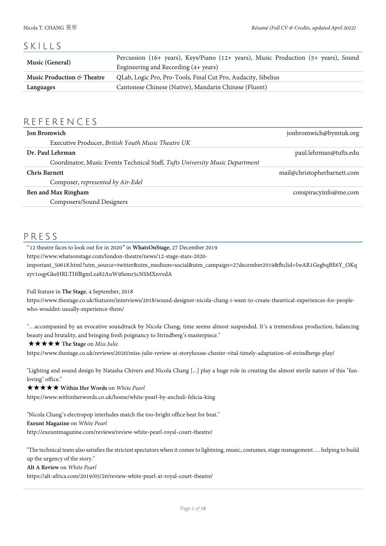# SKILLS

| Music (General)                                                                                          | Percussion (16+ years), Keys/Piano (12+ years), Music Production (5+ years), Sound |
|----------------------------------------------------------------------------------------------------------|------------------------------------------------------------------------------------|
|                                                                                                          | Engineering and Recording (4+ years)                                               |
| QLab, Logic Pro, Pro-Tools, Final Cut Pro, Audacity, Sibelius<br>Music Production $\mathfrak{G}$ Theatre |                                                                                    |
| Languages                                                                                                | Cantonese Chinese (Native), Mandarin Chinese (Fluent)                              |

## REFERENCES

| <b>Jon Bromwich</b>                                                          | jonbromwich@bymtuk.org      |
|------------------------------------------------------------------------------|-----------------------------|
| Executive Producer, British Youth Music Theatre UK                           |                             |
| Dr. Paul Lehrman                                                             | paul.lehrman@tufts.edu      |
| Coordinator, Music Events Technical Staff, Tufts University Music Department |                             |
| <b>Chris Barnett</b>                                                         | mail@christopherbarnett.com |
| Composer, represented by Air-Edel                                            |                             |
| Ben and Max Ringham                                                          | conspiracyinfo@me.com       |
| Composers/Sound Designers                                                    |                             |

## PRESS

"12 theatre faces to look out for in 2020" in **WhatsOnStage**, 27 December 2019

https://www.whatsonstage.com/london-theatre/news/12-stage-stars-2020-

important\_50618.html?utm\_source=twitter&utm\_medium=social&utm\_campaign=27december2019&fbclid=IwAR1GegbqBE6Y\_OKq zyv1oqpGkeHRLTHfRgmLz482AuW9Semr5cNSMXnvvdA

### Full feature in **The Stage**, 4 September, 2018

https://www.thestage.co.uk/features/interviews/2018/sound-designer-nicola-chang-i-want-to-create-theatrical-experiences-for-peoplewho-wouldnt-usually-experience-them/

"…accompanied by an evocative soundtrack by Nicola Chang, time seems almost suspended. It's a tremendous production, balancing beauty and brutality, and bringing fresh poignancy to Strindberg's masterpiece."

#### ★★★★★ **The Stage** on *Miss Julie*

https://www.thestage.co.uk/reviews/2020/miss-julie-review-at-storyhouse-chester-vital-timely-adaptation-of-strindbergs-play/

"Lighting and sound design by Natasha Chivers and Nicola Chang [...] play a huge role in creating the almost sterile nature of this "funloving" office."

#### ★★★★★ **Within Her Words** on *White Pearl*

https://www.withinherwords.co.uk/home/white-pearl-by-anchuli-felicia-king

"Nicola Chang's electropop interludes match the too-bright office beat for beat." **Exeunt Magazine** on *White Pearl* http://exeuntmagazine.com/reviews/review-white-pearl-royal-court-theatre/

"The technical team also satisfies the strictest spectators when it comes to lightning, music, costumes, stage management…. helping to build up the urgency of the story."

#### **Alt A Review** on *White Pearl*

https://alt-africa.com/2019/05/20/review-white-pearl-at-royal-court-theatre/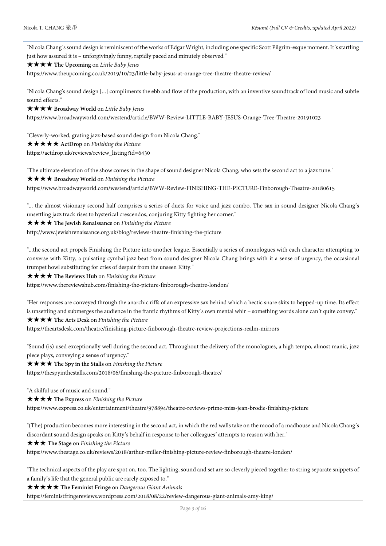"Nicola Chang's sound design is reminiscent of the works of Edgar Wright, including one specific Scott Pilgrim-esque moment. It's startling just how assured it is – unforgivingly funny, rapidly paced and minutely observed."

#### ★★★★ **The Upcoming** on *Little Baby Jesus*

https://www.theupcoming.co.uk/2019/10/23/little-baby-jesus-at-orange-tree-theatre-theatre-review/

"Nicola Chang's sound design [...] compliments the ebb and flow of the production, with an inventive soundtrack of loud music and subtle sound effects."

#### ★★★★ **Broadway World** on *Little Baby Jesus*

https://www.broadwayworld.com/westend/article/BWW-Review-LITTLE-BABY-JESUS-Orange-Tree-Theatre-20191023

"Cleverly-worked, grating jazz-based sound design from Nicola Chang." ★★★★★ **ActDrop** on *Finishing the Picture* 

https://actdrop.uk/reviews/review\_listing?id=6430

"The ultimate elevation of the show comes in the shape of sound designer Nicola Chang, who sets the second act to a jazz tune." ★★★★ **Broadway World** on *Finishing the Picture*

https://www.broadwayworld.com/westend/article/BWW-Review-FINISHING-THE-PICTURE-Finborough-Theatre-20180615

"... the almost visionary second half comprises a series of duets for voice and jazz combo. The sax in sound designer Nicola Chang's unsettling jazz track rises to hysterical crescendos, conjuring Kitty fighting her corner."

### ★★★★ **The Jewish Renaissance** on *Finishing the Picture*

http://www.jewishrenaissance.org.uk/blog/reviews-theatre-finishing-the-picture

"...the second act propels Finishing the Picture into another league. Essentially a series of monologues with each character attempting to converse with Kitty, a pulsating cymbal jazz beat from sound designer Nicola Chang brings with it a sense of urgency, the occasional trumpet howl substituting for cries of despair from the unseen Kitty."

#### ★★★★ **The Reviews Hub** on *Finishing the Picture*

https://www.thereviewshub.com/finishing-the-picture-finborough-theatre-london/

"Her responses are conveyed through the anarchic riffs of an expressive sax behind which a hectic snare skits to hepped-up time. Its effect is unsettling and submerges the audience in the frantic rhythms of Kitty's own mental whir – something words alone can't quite convey."

## ★★★★ **The Arts Desk** on *Finishing the Picture*

https://theartsdesk.com/theatre/finishing-picture-finborough-theatre-review-projections-realm-mirrors

"Sound (is) used exceptionally well during the second act. Throughout the delivery of the monologues, a high tempo, almost manic, jazz piece plays, conveying a sense of urgency."

#### ★★★★ **The Spy in the Stalls** on *Finishing the Picture*

https://thespyinthestalls.com/2018/06/finishing-the-picture-finborough-theatre/

"A skilful use of music and sound."

#### ★★★★ **The Express** on *Finishing the Picture*

https://www.express.co.uk/entertainment/theatre/978894/theatre-reviews-prime-miss-jean-brodie-finishing-picture

"(The) production becomes more interesting in the second act, in which the red walls take on the mood of a madhouse and Nicola Chang's discordant sound design speaks on Kitty's behalf in response to her colleagues' attempts to reason with her."

#### ★★★ **The Stage** on *Finishing the Picture*

https://www.thestage.co.uk/reviews/2018/arthur-miller-finishing-picture-review-finborough-theatre-london/

"The technical aspects of the play are spot on, too. The lighting, sound and set are so cleverly pieced together to string separate snippets of a family's life that the general public are rarely exposed to."

#### ★★★★★ **The Feminist Fringe** on *Dangerous Giant Animals*

https://feministfringereviews.wordpress.com/2018/08/22/review-dangerous-giant-animals-amy-king/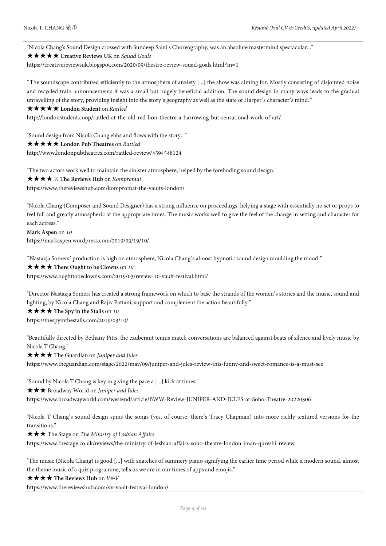"Nicola Chang's Sound Design crossed with Sundeep Saini's Choreography, was an absolute mastermind spectacular..."

#### ★★★★★ **Creative Reviews UK** on *Squad Goals*

https://creativereviewsuk.blogspot.com/2020/09/thestre-review-squad-goals.html?m=1

"The soundscape contributed efficiently to the atmosphere of anxiety [...] the show was aiming for. Mostly consisting of disjointed noise and recycled train announcements it was a small but hugely beneficial addition. The sound design in many ways leads to the gradual unravelling of the story, providing insight into the story's geography as well as the state of Harper's character's mind."

#### ★★★★★ **London Student** on *Rattled*

http://londonstudent.coop/rattled-at-the-old-red-lion-theatre-a-harrowing-but-sensational-work-of-art/

"Sound design from Nicola Chang ebbs and flows with the story..." ★★★★★ **London Pub Theatres** on *Rattled*

http://www.londonpubtheatres.com/rattled-review/4594548124

"The two actors work well to maintain the sinister atmosphere, helped by the foreboding sound design." ★★★★ ½ **The Reviews Hub** on *Kompromat* https://www.thereviewshub.com/kompromat-the-vaults-london/

"Nicola Chang (Composer and Sound Designer) has a strong influence on proceedings, helping a stage with essentially no set or props to feel full and greatly atmospheric at the appropriate times. The music works well to give the feel of the change in setting and character for each actress."

**Mark Aspen** on *10* https://markaspen.wordpress.com/2019/03/19/10/

"Nastazja Somers' production is high on atmosphere, Nicola Chang's almost hypnotic sound design moulding the mood."

#### ★★★★ **There Ought to be Clowns** on *10*

https://www.oughttobeclowns.com/2019/03/review-10-vault-festival.html/

"Director Nastazja Somers has created a strong framework on which to base the strands of the women's stories and the music, sound and lighting, by Nicola Chang and Rajiv Pattani, support and complement the action beautifully."

★★★★ **The Spy in the Stalls** on *10*

https://thespyinthestalls.com/2019/03/10/

"Beautifully directed by Bethany Pitts, the exuberant tennis match conversations are balanced against beats of silence and lively music by Nicola T Chang."

★★★★ The Guardian on *Juniper and Jules*

https://www.theguardian.com/stage/2022/may/09/juniper-and-jules-review-this-funny-and-sweet-romance-is-a-must-see

"Sound by Nicola T Chang is key in giving the pace a [...] kick at times."

★★★ Broadway World on *Juniper and Jules*

https://www.broadwayworld.com/westend/article/BWW-Review-JUNIPER-AND-JULES-at-Soho-Theatre-20220506

"Nicola T Chang's sound design spins the songs (yes, of course, there's Tracy Chapman) into more richly textured versions for the transitions."

★★★ The Stage on *The Ministry of Lesbian Affairs*

https://www.thestage.co.uk/reviews/the-ministry-of-lesbian-affairs-soho-theatre-london-iman-qureshi-review

"The music (Nicola Chang) is good [...] with snatches of summery piano signifying the earlier time period while a modern sound, almost the theme music of a quiz programme, tells us we are in our times of apps and emojis."

★★★★ **The Reviews Hub** on *V&V*

https://www.thereviewshub.com/vv-vault-festival-london/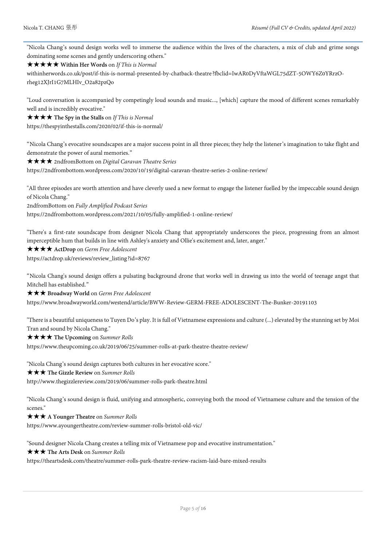"Nicola Chang's sound design works well to immerse the audience within the lives of the characters, a mix of club and grime songs dominating some scenes and gently underscoring others."

★★★★★ **Within Her Words** on *If This is Normal*

withinherwords.co.uk/post/if-this-is-normal-presented-by-chatback-theatre?fbclid=IwAR0DyVftaWGL75dZT-5OWY6Z0YRrzOrheg12XJrI1G7MLHIv\_O2a82pzQo

"Loud conversation is accompanied by competingly loud sounds and music..., [which] capture the mood of different scenes remarkably well and is incredibly evocative."

★★★★ **The Spy in the Stalls** on *If This is Normal*

https://thespyinthestalls.com/2020/02/if-this-is-normal/

"Nicola Chang's evocative soundscapes are a major success point in all three pieces; they help the listener's imagination to take flight and demonstrate the power of aural memories."

★★★★ 2ndfromBottom on *Digital Caravan Theatre Series*

https://2ndfrombottom.wordpress.com/2020/10/19/digital-caravan-theatre-series-2-online-review/

"All three episodes are worth attention and have cleverly used a new format to engage the listener fuelled by the impeccable sound design of Nicola Chang."

2ndfromBottom on *Fully Amplified Podcast Series*

https://2ndfrombottom.wordpress.com/2021/10/05/fully-amplified-1-online-review/

"There's a first-rate soundscape from designer Nicola Chang that appropriately underscores the piece, progressing from an almost imperceptible hum that builds in line with Ashley's anxiety and Ollie's excitement and, later, anger."

★★★★ **ActDrop** on *Germ Free Adolescent*

https://actdrop.uk/reviews/review\_listing?id=8767

"Nicola Chang's sound design offers a pulsating background drone that works well in drawing us into the world of teenage angst that Mitchell has established."

★★★ **Broadway World** on *Germ Free Adolescent*

https://www.broadwayworld.com/westend/article/BWW-Review-GERM-FREE-ADOLESCENT-The-Bunker-20191103

"There is a beautiful uniqueness to Tuyen Do's play. It is full of Vietnamese expressions and culture (...) elevated by the stunning set by Moi Tran and sound by Nicola Chang."

★★★★ **The Upcoming** on *Summer Rolls*

https://www.theupcoming.co.uk/2019/06/25/summer-rolls-at-park-theatre-theatre-review/

"Nicola Chang's sound design captures both cultures in her evocative score."

★★★ **The Gizzle Review** on *Summer Rolls*

http://www.thegizzlereview.com/2019/06/summer-rolls-park-theatre.html

"Nicola Chang's sound design is fluid, unifying and atmospheric, conveying both the mood of Vietnamese culture and the tension of the scenes."

★★★ **A Younger Theatre** on *Summer Rolls*

https://www.ayoungertheatre.com/review-summer-rolls-bristol-old-vic/

"Sound designer Nicola Chang creates a telling mix of Vietnamese pop and evocative instrumentation."

★★★ **The Arts Desk** on *Summer Rolls*

https://theartsdesk.com/theatre/summer-rolls-park-theatre-review-racism-laid-bare-mixed-results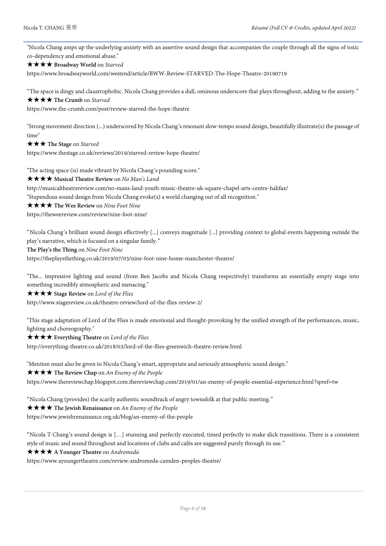"Nicola Chang amps up the underlying anxiety with an assertive sound design that accompanies the couple through all the signs of toxic co-dependency and emotional abuse."

★★★★ **Broadway World** on *Starved*

https://www.broadwayworld.com/westend/article/BWW-Review-STARVED-The-Hope-Theatre-20190719

"The space is dingy and claustrophobic. Nicola Chang provides a dull, ominous underscore that plays throughout, adding to the anxiety."

★★★★ **The Crumb** on *Starved*

https://www.the-crumb.com/post/review-starved-the-hope-theatre

"Strong movement direction (...) underscored by Nicola Chang's resonant slow-tempo sound design, beautifully illustrate(s) the passage of time"

★★★ **The Stage** on *Starved*

https://www.thestage.co.uk/reviews/2019/starved-review-hope-theatre/

"The acting space (is) made vibrant by Nicola Chang's pounding score."

★★★★ **Musical Theatre Review** on *No Man's Land*

http://musicaltheatrereview.com/no-mans-land-youth-music-theatre-uk-square-chapel-arts-centre-halifax/

"Stupendous sound design from Nicola Chang evoke(s) a world changing out of all recognition."

★★★★ **The Wee Review** on *Nine Foot Nine*

https://theweereview.com/review/nine-foot-nine/

"Nicola Chang's brilliant sound design effectively [...] conveys magnitude [...] providing context to global events happening outside the play's narrative, which is focused on a singular family."

**The Play's the Thing** on *Nine Foot Nine*

https://theplaysthething.co.uk/2019/07/03/nine-foot-nine-home-manchester-theatre/

"The... impressive lighting and sound (from Ben Jacobs and Nicola Chang respectively) transforms an essentially empty stage into something incredibly atmospheric and menacing."

★★★★ **Stage Review** on *Lord of the Flies*

http://www.stagereview.co.uk/theatre-review/lord-of-the-flies-review-2/

"This stage adaptation of Lord of the Flies is made emotional and thought-provoking by the unified strength of the performances, music, lighting and choreography."

★★★★ **Everything Theatre** on *Lord of the Flies*

http://everything-theatre.co.uk/2018/03/lord-of-the-flies-greenwich-theatre-review.html

"Mention must also be given to Nicola Chang's smart, appropriate and seriously atmospheric sound design."

★★★★ **The Review Chap** on *An Enemy of the People*

https://www.thereviewchap.blogspot.com.thereviewchap.com/2019/01/an-enemy-of-people-essential-experience.html?spref=tw

"Nicola Chang (provides) the scarily authentic soundtrack of angry townsfolk at that public meeting."

★★★★ **The Jewish Renaissance** on *An Enemy of the People*

https://www.jewishrenaissance.org.uk/blog/an-enemy-of-the-people

"Nicola T Chang's sound design is […] stunning and perfectly executed, timed perfectly to make slick transitions. There is a consistent style of music and sound throughout and locations of clubs and cafés are suggested purely through its use."

### ★★★★ **A Younger Theatre** on *Andromeda*

https://www.ayoungertheatre.com/review-andromeda-camden-peoples-theatre/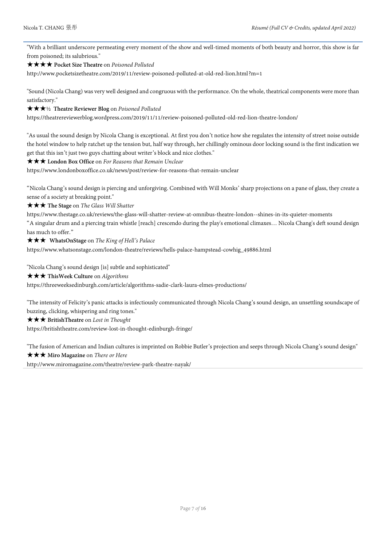"With a brilliant underscore permeating every moment of the show and well-timed moments of both beauty and horror, this show is far from poisoned; its salubrious."

#### ★★★★ **Pocket Size Theatre** on *Poisoned Polluted*

http://www.pocketsizetheatre.com/2019/11/review-poisoned-polluted-at-old-red-lion.html?m=1

"Sound (Nicola Chang) was very well designed and congruous with the performance. On the whole, theatrical components were more than satisfactory."

#### ★★★½ **Theatre Reviewer Blog** on *Poisoned Polluted*

https://theatrereviewerblog.wordpress.com/2019/11/11/review-poisoned-polluted-old-red-lion-theatre-london/

"As usual the sound design by Nicola Chang is exceptional. At first you don't notice how she regulates the intensity of street noise outside the hotel window to help ratchet up the tension but, half way through, her chillingly ominous door locking sound is the first indication we get that this isn't just two guys chatting about writer's block and nice clothes."

#### ★★★ **London Box Office** on *For Reasons that Remain Unclear*

https://www.londonboxoffice.co.uk/news/post/review-for-reasons-that-remain-unclear

"Nicola Chang's sound design is piercing and unforgiving. Combined with Will Monks' sharp projections on a pane of glass, they create a sense of a society at breaking point."

★★★ **The Stage** on *The Glass Will Shatter*

https://www.thestage.co.uk/reviews/the-glass-will-shatter-review-at-omnibus-theatre-london--shines-in-its-quieter-moments "A singular drum and a piercing train whistle [reach] crescendo during the play's emotional climaxes… Nicola Chang's deft sound design has much to offer."

★★★ **WhatsOnStage** on *The King of Hell's Palace*

https://www.whatsonstage.com/london-theatre/reviews/hells-palace-hampstead-cowhig\_49886.html

"Nicola Chang's sound design [is] subtle and sophisticated"

#### ★★★ **ThisWeek Culture** on *Algorithms*

https://threeweeksedinburgh.com/article/algorithms-sadie-clark-laura-elmes-productions/

"The intensity of Felicity's panic attacks is infectiously communicated through Nicola Chang's sound design, an unsettling soundscape of buzzing, clicking, whispering and ring tones."

#### ★★★ **BritishTheatre** on *Lost in Thought*

https://britishtheatre.com/review-lost-in-thought-edinburgh-fringe/

"The fusion of American and Indian cultures is imprinted on Robbie Butler's projection and seeps through Nicola Chang's sound design" ★★★ **Miro Magazine** on *There or Here*

http://www.miromagazine.com/theatre/review-park-theatre-nayak/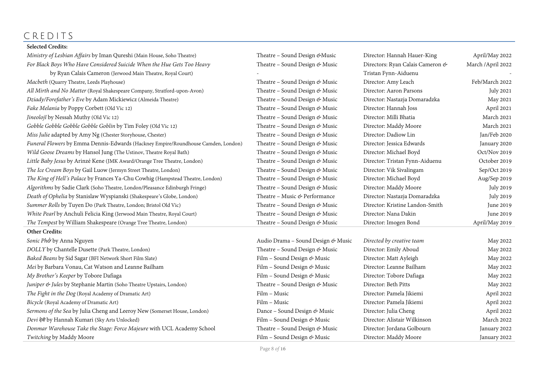# CREDITS

## **Selected Credits:**

| Ministry of Lesbian Affairs by Iman Qureshi (Main House, Soho Theatre)            | Theatre - Sound Design & Music     | Director: Hannah Hauer-King      | April/May 2022     |
|-----------------------------------------------------------------------------------|------------------------------------|----------------------------------|--------------------|
| For Black Boys Who Have Considered Suicide When the Hue Gets Too Heavy            | Theatre - Sound Design & Music     | Directors: Ryan Calais Cameron & | March / April 2022 |
| by Ryan Calais Cameron (Jerwood Main Theatre, Royal Court)                        |                                    | Tristan Fynn-Aiduenu             |                    |
| Macbeth (Quarry Theatre, Leeds Playhouse)                                         | Theatre - Sound Design & Music     | Director: Amy Leach              | Feb/March 2022     |
| All Mirth and No Matter (Royal Shakespeare Company, Stratford-upon-Avon)          | Theatre - Sound Design & Music     | Director: Aaron Parsons          | July 2021          |
| Dziady/Forefather's Eve by Adam Mickiewicz (Almeida Theatre)                      | Theatre - Sound Design & Music     | Director: Nastazja Domaradzka    | May 2021           |
| Fake Melania by Poppy Corbett (Old Vic 12)                                        | Theatre - Sound Design & Music     | Director: Hannah Joss            | April 2021         |
| Jineolojî by Nessah Muthy (Old Vic 12)                                            | Theatre - Sound Design & Music     | Director: Milli Bhatia           | March 2021         |
| Gobble Gobble Gobble Gobble Goblin by Tim Foley (Old Vic 12)                      | Theatre - Sound Design & Music     | Director: Maddy Moore            | March 2021         |
| Miss Julie adapted by Amy Ng (Chester Storyhouse, Chester)                        | Theatre - Sound Design & Music     | Director: Dadiow Lin             | Jan/Feb 2020       |
| Funeral Flowers by Emma Dennis-Edwards (Hackney Empire/Roundhouse Camden, London) | Theatre - Sound Design & Music     | Director: Jessica Edwards        | January 2020       |
| Wild Goose Dreams by Hansol Jung (The Ustinov, Theatre Royal Bath)                | Theatre - Sound Design & Music     | Director: Michael Boyd           | Oct/Nov 2019       |
| Little Baby Jesus by Arinzé Kene (JMK Award/Orange Tree Theatre, London)          | Theatre - Sound Design & Music     | Director: Tristan Fynn-Aiduenu   | October 2019       |
| The Ice Cream Boys by Gail Luow (Jermyn Street Theatre, London)                   | Theatre - Sound Design & Music     | Director: Vik Sivalingam         | Sep/Oct 2019       |
| The King of Hell's Palace by Frances Ya-Chu Cowhig (Hampstead Theatre, London)    | Theatre - Sound Design & Music     | Director: Michael Boyd           | Aug/Sep 2019       |
| Algorithms by Sadie Clark (Soho Theatre, London/Pleasance Edinburgh Fringe)       | Theatre - Sound Design & Music     | Director: Maddy Moore            | <b>July 2019</b>   |
| Death of Ophelia by Stanislaw Wyspianski (Shakespeare's Globe, London)            | Theatre - Music & Performance      | Director: Nastazja Domaradzka    | July 2019          |
| Summer Rolls by Tuyen Do (Park Theatre, London; Bristol Old Vic)                  | Theatre - Sound Design & Music     | Director: Kristine Landon-Smith  | June 2019          |
| White Pearl by Anchuli Felicia King (Jerwood Main Theatre, Royal Court)           | Theatre - Sound Design & Music     | Director: Nana Dakin             | June 2019          |
| The Tempest by William Shakespeare (Orange Tree Theatre, London)                  | Theatre - Sound Design & Music     | Director: Imogen Bond            | April/May 2019     |
| Other Credits:                                                                    |                                    |                                  |                    |
| Sonic Phở by Anna Nguyen                                                          | Audio Drama - Sound Design & Music | Directed by creative team        | May 2022           |
| DOLLY by Chantelle Dusette (Park Theatre, London)                                 | Theatre - Sound Design & Music     | Director: Emily Aboud            | May 2022           |
| Baked Beans by Sid Sagar (BFI Network Short Film Slate)                           | Film - Sound Design & Music        | Director: Matt Ayleigh           | May 2022           |
| Mei by Barbara Vonau, Cat Watson and Leanne Bailham                               | Film - Sound Design & Music        | Director: Leanne Bailham         | May 2022           |
| My Brother's Keeper by Tobore Dafiaga                                             | Film - Sound Design & Music        | Director: Tobore Dafiaga         | May 2022           |
| Juniper & Jules by Stephanie Martin (Soho Theatre Upstairs, London)               | Theatre - Sound Design & Music     | Director: Beth Pitts             | May 2022           |
| The Fight in the Dog (Royal Academy of Dramatic Art)                              | Film - Music                       | Director: Pamela Jikiemi         | April 2022         |
| Bicycle (Royal Academy of Dramatic Art)                                           | Film – Music                       | Director: Pamela Jikiemi         | April 2022         |
| Sermons of the Sea by Julia Cheng and Leeroy New (Somerset House, London)         | Dance - Sound Design & Music       | Director: Julia Cheng            | April 2022         |
| Devi देवी by Hannah Kumari (Sky Arts Unlocked)                                    | Film - Sound Design & Music        | Director: Alistair Wilkinson     | March 2022         |
| Donmar Warehouse Take the Stage: Force Majeure with UCL Academy School            | Theatre - Sound Design & Music     | Director: Jordana Golbourn       | January 2022       |
| Twitching by Maddy Moore                                                          | Film - Sound Design & Music        | Director: Maddy Moore            | January 2022       |
|                                                                                   |                                    |                                  |                    |

Page 8 *of* **16**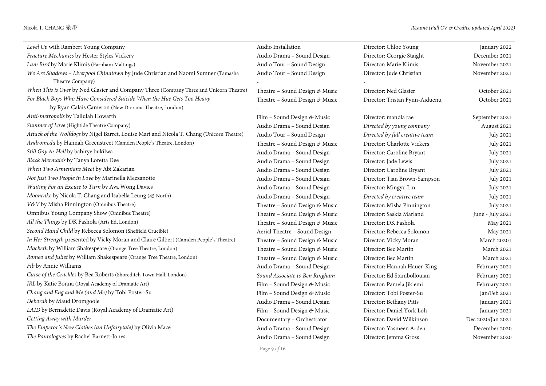| Level Up with Rambert Young Company                                                                  | Audio Installation             | Director: Chloe Young          | January 2022      |
|------------------------------------------------------------------------------------------------------|--------------------------------|--------------------------------|-------------------|
| Fracture Mechanics by Hester Styles Vickery                                                          | Audio Drama - Sound Design     | Director: Georgie Staight      | December 2021     |
| I am Bird by Marie Klimis (Farnham Maltings)                                                         | Audio Tour - Sound Design      | Director: Marie Klimis         | November 2021     |
| We Are Shadows - Liverpool Chinatown by Jude Christian and Naomi Sumner (Tamasha<br>Theatre Company) | Audio Tour - Sound Design      | Director: Jude Christian       | November 2021     |
| When This is Over by Ned Glasier and Company Three (Company Three and Unicorn Theatre)               | Theatre - Sound Design & Music | Director: Ned Glasier          | October 2021      |
| For Black Boys Who Have Considered Suicide When the Hue Gets Too Heavy                               | Theatre - Sound Design & Music | Director: Tristan Fynn-Aiduenu | October 2021      |
| by Ryan Calais Cameron (New Diorama Theatre, London)                                                 |                                |                                |                   |
| Anti-metropolis by Tallulah Howarth                                                                  | Film - Sound Design & Music    | Director: mandla rae           | September 2021    |
| Summer of Love (Hightide Theatre Company)                                                            | Audio Drama - Sound Design     | Directed by young company      | August 2021       |
| Attack of the Wolfdogs by Nigel Barret, Louise Mari and Nicola T. Chang (Unicorn Theatre)            | Audio Tour - Sound Design      | Directed by full creative team | <b>July 2021</b>  |
| Andromeda by Hannah Greenstreet (Camden People's Theatre, London)                                    | Theatre – Sound Design & Music | Director: Charlotte Vickers    | July 2021         |
| Still Gay As Hell by babirye bukilwa                                                                 | Audio Drama - Sound Design     | Director: Caroline Bryant      | <b>July 2021</b>  |
| Black Mermaids by Tanya Loretta Dee                                                                  | Audio Drama - Sound Design     | Director: Jade Lewis           | <b>July 2021</b>  |
| When Two Armenians Meet by Abi Zakarian                                                              | Audio Drama - Sound Design     | Director: Caroline Bryant      | <b>July 2021</b>  |
| Not Just Two People in Love by Marinella Mezzanotte                                                  | Audio Drama - Sound Design     | Director: Tian Brown-Sampson   | <b>July 2021</b>  |
| Waiting For an Excuse to Turn by Ava Wong Davies                                                     | Audio Drama - Sound Design     | Director: Mingyu Lin           | <b>July 2021</b>  |
| Mooncake by Nicola T. Chang and Isabella Leung (45 North)                                            | Audio Drama - Sound Design     | Directed by creative team      | July 2021         |
| V&V by Misha Pinnington (Omnibus Theatre)                                                            | Theatre - Sound Design & Music | Director: Misha Pinnington     | <b>July 2021</b>  |
| Omnibus Young Company Show (Omnibus Theatre)                                                         | Theatre - Sound Design & Music | Director: Saskia Marland       | June - July 2021  |
| All the Things by DK Fashola (Arts Ed, London)                                                       | Theatre - Sound Design & Music | Director: DK Fashola           | May 2021          |
| Second Hand Child by Rebecca Solomon (Sheffield Crucible)                                            | Aerial Theatre - Sound Design  | Director: Rebecca Solomon      | May 2021          |
| In Her Strength presented by Vicky Moran and Claire Gilbert (Camden People's Theatre)                | Theatre - Sound Design & Music | Director: Vicky Moran          | March 20201       |
| Macbeth by William Shakespeare (Orange Tree Theatre, London)                                         | Theatre - Sound Design & Music | Director: Bec Martin           | March 2021        |
| Romeo and Juliet by William Shakespeare (Orange Tree Theatre, London)                                | Theatre - Sound Design & Music | Director: Bec Martin           | March 2021        |
| Fib by Annie Williams                                                                                | Audio Drama - Sound Design     | Director: Hannah Hauer-King    | February 2021     |
| Curse of the Crackles by Bea Roberts (Shoreditch Town Hall, London)                                  | Sound Associate to Ben Ringham | Director: Ed Stambollouian     | February 2021     |
| IRL by Katie Bonna (Royal Academy of Dramatic Art)                                                   | Film - Sound Design & Music    | Director: Pamela Jikiemi       | February 2021     |
| Chang and Eng and Me (and Me) by Tobi Poster-Su                                                      | Film - Sound Design & Music    | Director: Tobi Poster-Su       | Jan/Feb 2021      |
| Deborah by Maud Dromgoole                                                                            | Audio Drama - Sound Design     | Director: Bethany Pitts        | January 2021      |
| LAID by Bernadette Davis (Royal Academy of Dramatic Art)                                             | Film - Sound Design & Music    | Director: Daniel York Loh      | January 2021      |
| Getting Away with Murder                                                                             | Documentary - Orchestrator     | Director: David Wilkinson      | Dec 2020/Jan 2021 |
| The Emperor's New Clothes (an Unfairytale) by Olivia Mace                                            | Audio Drama - Sound Design     | Director: Yasmeen Arden        | December 2020     |
| The Pantologues by Rachel Barnett-Jones                                                              | Audio Drama - Sound Design     | Director: Jemma Gross          | November 2020     |

Page 9 *of* **16**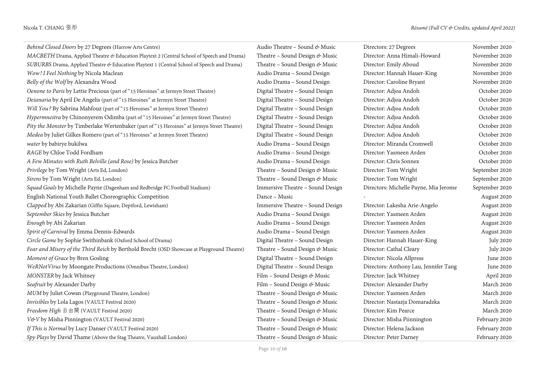| Behind Closed Doors by 27 Degrees (Harrow Arts Centre)                                      | Audio Theatre – Sound & Music    | Directors: 27 Degrees                 | November 2020    |
|---------------------------------------------------------------------------------------------|----------------------------------|---------------------------------------|------------------|
| MACBETH Drama, Applied Theatre & Education Playtext 2 (Central School of Speech and Drama)  | Theatre - Sound Design & Music   | Director: Anna Himali-Howard          | November 2020    |
| SUBURBS Drama, Applied Theatre & Education Playtext 1 (Central School of Speech and Drama)  | Theatre - Sound Design & Music   | Director: Emily Aboud                 | November 2020    |
| Wow! I Feel Nothing by Nicola Maclean                                                       | Audio Drama - Sound Design       | Director: Hannah Hauer-King           | November 2020    |
| Belly of the Wolf by Alexandra Wood                                                         | Audio Drama - Sound Design       | Director: Caroline Bryant             | November 2020    |
| Oenone to Paris by Lettie Precious (part of "15 Heroines" at Jermyn Street Theatre)         | Digital Theatre - Sound Design   | Director: Adjoa Andoh                 | October 2020     |
| Deianaria by April De Angelis (part of "15 Heroines" at Jermyn Street Theatre)              | Digital Theatre - Sound Design   | Director: Adjoa Andoh                 | October 2020     |
| Will You? By Sabrina Mahfouz (part of "15 Heroines" at Jermyn Street Theatre)               | Digital Theatre - Sound Design   | Director: Adjoa Andoh                 | October 2020     |
| Hypermnestra by Chinonyerem Odimba (part of "15 Heroines" at Jermyn Street Theatre)         | Digital Theatre - Sound Design   | Director: Adjoa Andoh                 | October 2020     |
| Pity the Monster by Timberlake Wertenbaker (part of "15 Heroines" at Jermyn Street Theatre) | Digital Theatre - Sound Design   | Director: Adjoa Andoh                 | October 2020     |
| Medea by Juliet Gilkes Romero (part of "15 Heroines" at Jermyn Street Theatre)              | Digital Theatre - Sound Design   | Director: Adjoa Andoh                 | October 2020     |
| water by babirye bukilwa                                                                    | Audio Drama - Sound Design       | Director: Miranda Cromwell            | October 2020     |
| RAGE by Chloe Todd Fordham                                                                  | Audio Drama - Sound Design       | Director: Yasmeen Arden               | October 2020     |
| A Few Minutes with Ruth Belville (and Rose) by Jessica Butcher                              | Audio Drama - Sound Design       | Director: Chris Sonnex                | October 2020     |
| Privilege by Tom Wright (Arts Ed, London)                                                   | Theatre – Sound Design & Music   | Director: Tom Wright                  | September 2020   |
| Sirens by Tom Wright (Arts Ed, London)                                                      | Theatre - Sound Design & Music   | Director: Tom Wright                  | September 2020   |
| Squad Goals by Michelle Payne (Dagenham and Redbridge FC Football Stadium)                  | Immersive Theatre - Sound Design | Directors: Michelle Payne, Mia Jerome | September 2020   |
| English National Youth Ballet Choreographic Competition                                     | Dance - Music                    |                                       | August 2020      |
| Clapped by Abi Zakarian (Giffin Square, Deptford, Lewisham)                                 | Immersive Theatre - Sound Design | Director: Lakesha Arie-Angelo         | August 2020      |
| September Skies by Jessica Butcher                                                          | Audio Drama - Sound Design       | Director: Yasmeen Arden               | August 2020      |
| Enough by Abi Zakarian                                                                      | Audio Drama - Sound Design       | Director: Yasmeen Arden               | August 2020      |
| Spirit of Carnival by Emma Dennis-Edwards                                                   | Audio Drama - Sound Design       | Director: Yasmeen Arden               | August 2020      |
| Circle Game by Sophie Swithinbank (Oxford School of Drama)                                  | Digital Theatre - Sound Design   | Director: Hannah Hauer-King           | <b>July 2020</b> |
| Fear and Misery of the Third Reich by Berthold Brecht (OSD Showcase at Playground Theatre)  | Theatre - Sound Design & Music   | Director: Cathal Cleary               | <b>July 2020</b> |
| Moment of Grace by Bren Gosling                                                             | Digital Theatre - Sound Design   | Director: Nicola Allpress             | June 2020        |
| WeRNotVirus by Moongate Productions (Omnibus Theatre, London)                               | Digital Theatre - Sound Design   | Directors: Anthony Lau, Jennifer Tang | June 2020        |
| MONSTER by Jack Whitney                                                                     | Film - Sound Design & Music      | Director: Jack Whitney                | April 2020       |
| Seafruit by Alexander Darby                                                                 | Film - Sound Design & Music      | Director: Alexander Darby             | March 2020       |
| MUM by Juliet Cowan (Playground Theatre, London)                                            | Theatre - Sound Design & Music   | Director: Yasmeen Arden               | March 2020       |
| Invisibles by Lola Lagos (VAULT Festival 2020)                                              | Theatre - Sound Design & Music   | Director: Nastazja Domaradzka         | March 2020       |
| Freedom High 自由閪 (VAULT Festival 2020)                                                      | Theatre - Sound Design & Music   | Director: Kim Pearce                  | March 2020       |
| V&V by Misha Pinnington (VAULT Festival 2020)                                               | Theatre - Sound Design & Music   | Director: Misha Piinnington           | February 2020    |
| If This is Normal by Lucy Danser (VAULT Festival 2020)                                      | Theatre - Sound Design & Music   | Director: Helena Jackson              | February 2020    |
| Spy Plays by David Thame (Above the Stag Theatre, Vauxhall London)                          | Theatre - Sound Design & Music   | Director: Peter Darney                | February 2020    |

Page 10 *of* **16**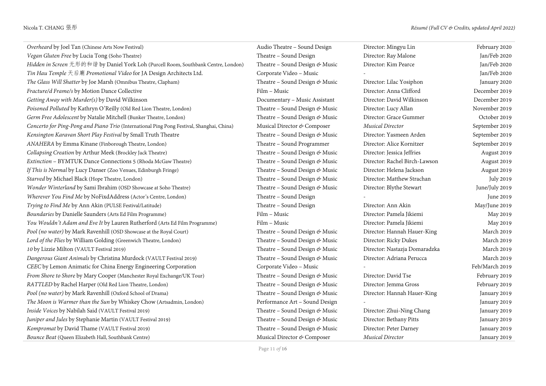| Overheard by Joel Tan (Chinese Arts Now Festival)                                         | Audio Theatre - Sound Design   | Director: Mingyu Lin          | February 2020    |
|-------------------------------------------------------------------------------------------|--------------------------------|-------------------------------|------------------|
| Vegan Gluten Free by Lucia Tong (Soho Theatre)                                            | Theatre - Sound Design         | Director: Ray Malone          | Jan/Feb 2020     |
| Hidden in Screen 无形的和谐 by Daniel York Loh (Purcell Room, Southbank Centre, London)        | Theatre - Sound Design & Music | Director: Kim Pearce          | Jan/Feb 2020     |
| Tin Hau Temple 天后廟 Promotional Video for JA Design Architects Ltd.                        | Corporate Video - Music        |                               | Jan/Feb 2020     |
| The Glass Will Shatter by Joe Marsh (Omnibus Theatre, Clapham)                            | Theatre - Sound Design & Music | Director: Lilac Yosiphon      | January 2020     |
| Fracture/d Frame/s by Motion Dance Collective                                             | Film - Music                   | Director: Anna Clifford       | December 2019    |
| Getting Away with Murder(s) by David Wilkinson                                            | Documentary - Music Assistant  | Director: David Wilkinson     | December 2019    |
| Poisoned Polluted by Kathryn O'Reilly (Old Red Lion Theatre, London)                      | Theatre - Sound Design & Music | Director: Lucy Allan          | November 2019    |
| Germ Free Adolescent by Natalie Mitchell (Bunker Theatre, London)                         | Theatre - Sound Design & Music | Director: Grace Gummer        | October 2019     |
| Concerto for Ping-Pong and Piano Trio (International Ping Pong Festival, Shanghai, China) | Musical Director & Composer    | Musical Director              | September 2019   |
| Kensington Karavan Short Play Festival by Small Truth Theatre                             | Theatre - Sound Design & Music | Director: Yasmeen Arden       | September 2019   |
| ANAHERA by Emma Kinane (Finborough Theatre, London)                                       | Theatre - Sound Programmer     | Director: Alice Kornitzer     | September 2019   |
| Collapsing Creation by Arthur Meek (Brockley Jack Theatre)                                | Theatre - Sound Design & Music | Director: Jessica Jeffries    | August 2019      |
| Extinction - BYMTUK Dance Connections 5 (Rhoda McGaw Theatre)                             | Theatre - Sound Design & Music | Director: Rachel Birch-Lawson | August 2019      |
| If This is Normal by Lucy Danser (Zoo Venues, Edinburgh Fringe)                           | Theatre - Sound Design & Music | Director: Helena Jackson      | August 2019      |
| Starved by Michael Black (Hope Theatre, London)                                           | Theatre - Sound Design & Music | Director: Matthew Strachan    | <b>July 2019</b> |
| Wonder Winterland by Sami Ibrahim (OSD Showcase at Soho Theatre)                          | Theatre - Sound Design & Music | Director: Blythe Stewart      | June/July 2019   |
| Wherever You Find Me by NoFixdAddress (Actor's Centre, London)                            | Theatre - Sound Design         |                               | June 2019        |
| Trying to Find Me by Ann Akin (PULSE Festival/Latitude)                                   | Theatre - Sound Design         | Director: Ann Akin            | May/June 2019    |
| Boundaries by Danielle Saunders (Arts Ed Film Programme)                                  | Film - Music                   | Director: Pamela Jikiemi      | May 2019         |
| You Wouldn't Adam and Eve It by Lauren Rutherford (Arts Ed Film Programme)                | Film - Music                   | Director: Pamela Jikiemi      | May 2019         |
| Pool (no water) by Mark Ravenhill (OSD Showcase at the Royal Court)                       | Theatre - Sound Design & Music | Director: Hannah Hauer-King   | March 2019       |
| Lord of the Flies by William Golding (Greenwich Theatre, London)                          | Theatre - Sound Design & Music | Director: Ricky Dukes         | March 2019       |
| 10 by Lizzie Milton (VAULT Festival 2019)                                                 | Theatre - Sound Design & Music | Director: Nastazja Domaradzka | March 2019       |
| Dangerous Giant Animals by Christina Murdock (VAULT Festival 2019)                        | Theatre – Sound Design & Music | Director: Adriana Perucca     | March 2019       |
| CEEC by Lemon Animatic for China Energy Engineering Corporation                           | Corporate Video - Music        |                               | Feb/March 2019   |
| From Shore to Shore by Mary Cooper (Manchester Royal Exchange/UK Tour)                    | Theatre - Sound Design & Music | Director: David Tse           | February 2019    |
| RATTLED by Rachel Harper (Old Red Lion Theatre, London)                                   | Theatre - Sound Design & Music | Director: Jemma Gross         | February 2019    |
| Pool (no water) by Mark Ravenhill (Oxford School of Drama)                                | Theatre - Sound Design & Music | Director: Hannah Hauer-King   | January 2019     |
| The Moon is Warmer than the Sun by Whiskey Chow (Artsadmin, London)                       | Performance Art - Sound Design |                               | January 2019     |
| Inside Voices by Nabilah Said (VAULT Festival 2019)                                       | Theatre - Sound Design & Music | Director: Zhui-Ning Chang     | January 2019     |
| Juniper and Jules by Stephanie Martin (VAULT Festival 2019)                               | Theatre - Sound Design & Music | Director: Bethany Pitts       | January 2019     |
| Kompromat by David Thame (VAULT Festival 2019)                                            | Theatre - Sound Design & Music | Director: Peter Darney        | January 2019     |
| Bounce Beat (Queen Elizabeth Hall, Southbank Centre)                                      | Musical Director & Composer    | Musical Director              | January 2019     |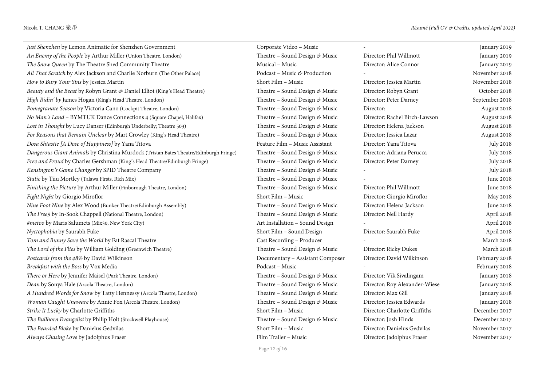| Just Shenzhen by Lemon Animatic for Shenzhen Government                               | Corporate Video - Music          |                               | January 2019     |
|---------------------------------------------------------------------------------------|----------------------------------|-------------------------------|------------------|
| An Enemy of the People by Arthur Miller (Union Theatre, London)                       | Theatre - Sound Design & Music   | Director: Phil Willmott       | January 2019     |
| The Snow Queen by The Theatre Shed Community Theatre                                  | Musical - Music                  | Director: Alice Connor        | January 2019     |
| All That Scratch by Alex Jackson and Charlie Norburn (The Other Palace)               | Podcast - Music & Production     |                               | November 2018    |
| How to Bury Your Sins by Jessica Martin                                               | Short Film - Music               | Director: Jessica Martin      | November 2018    |
| Beauty and the Beast by Robyn Grant & Daniel Elliot (King's Head Theatre)             | Theatre - Sound Design & Music   | Director: Robyn Grant         | October 2018     |
| High Ridin' by James Hogan (King's Head Theatre, London)                              | Theatre - Sound Design & Music   | Director: Peter Darney        | September 2018   |
| Pomegranate Season by Victoria Cano (Cockpit Theatre, London)                         | Theatre - Sound Design & Music   | Director:                     | August 2018      |
| No Man's Land - BYMTUK Dance Connections 4 (Square Chapel, Halifax)                   | Theatre - Sound Design & Music   | Director: Rachel Birch-Lawson | August 2018      |
| Lost in Thought by Lucy Danser (Edinburgh Underbelly; Theatre 503)                    | Theatre - Sound Design & Music   | Director: Helena Jackson      | August 2018      |
| For Reasons that Remain Unclear by Mart Crowley (King's Head Theatre)                 | Theatre - Sound Design & Music   | Director: Jessica Lazar       | August 2018      |
| Dosa Shtastie [A Dose of Happiness] by Yana Titova                                    | Feature Film - Music Assistant   | Director: Yana Titova         | <b>July 2018</b> |
| Dangerous Giant Animals by Christina Murdock (Tristan Bates Theatre/Edinburgh Fringe) | Theatre - Sound Design & Music   | Director: Adriana Perucca     | July 2018        |
| Free and Proud by Charles Gershman (King's Head Theatre/Edinburgh Fringe)             | Theatre - Sound Design & Music   | Director: Peter Darney        | <b>July 2018</b> |
| Kensington's Game Changer by SPID Theatre Company                                     | Theatre - Sound Design & Music   |                               | <b>July 2018</b> |
| Static by Tiiu Mortley (Talawa Firsts, Rich Mix)                                      | Theatre - Sound Design & Music   |                               | June 2018        |
| Finishing the Picture by Arthur Miller (Finborough Theatre, London)                   | Theatre - Sound Design & Music   | Director: Phil Willmott       | June 2018        |
| Fight Night by Giorgio Miroflor                                                       | Short Film - Music               | Director: Giorgio Miroflor    | May 2018         |
| Nine Foot Nine by Alex Wood (Bunker Theatre/Edinburgh Assembly)                       | Theatre - Sound Design & Music   | Director: Helena Jackson      | June 2018        |
| The Free9 by In-Sook Chappell (National Theatre, London)                              | Theatre - Sound Design & Music   | Director: Nell Hardy          | April 2018       |
| #metoo by Maris Salumets (Mix30, New York City)                                       | Art Installation - Sound Design  |                               | April 2018       |
| Nyctophobia by Saurabh Fuke                                                           | Short Film - Sound Design        | Director: Saurabh Fuke        | April 2018       |
| Tom and Bunny Save the World by Fat Rascal Theatre                                    | Cast Recording - Producer        |                               | March 2018       |
| The Lord of the Flies by William Golding (Greenwich Theatre)                          | Theatre - Sound Design & Music   | Director: Ricky Dukes         | March 2018       |
| Postcards from the 48% by David Wilkinson                                             | Documentary - Assistant Composer | Director: David Wilkinson     | February 2018    |
| Breakfast with the Boss by Vox Media                                                  | Podcast - Music                  |                               | February 2018    |
| There or Here by Jennifer Maisel (Park Theatre, London)                               | Theatre - Sound Design & Music   | Director: Vik Sivalingam      | January 2018     |
| Dean by Sonya Hale (Arcola Theatre, London)                                           | Theatre - Sound Design & Music   | Director: Roy Alexander-Wiese | January 2018     |
| A Hundred Words for Snow by Tatty Hennessy (Arcola Theatre, London)                   | Theatre - Sound Design & Music   | Director: Max Gill            | January 2018     |
| Woman Caught Unaware by Annie Fox (Arcola Theatre, London)                            | Theatre - Sound Design & Music   | Director: Jessica Edwards     | January 2018     |
| Strike It Lucky by Charlotte Griffiths                                                | Short Film - Music               | Director: Charlotte Griffiths | December 2017    |
| The Bullhorn Evangelist by Philip Holt (Stockwell Playhouse)                          | Theatre - Sound Design & Music   | Director: Josh Hinds          | December 2017    |
| The Bearded Bloke by Danielus Gedvilas                                                | Short Film - Music               | Director: Danielus Gedvilas   | November 2017    |
| Always Chasing Love by Jadolphus Fraser                                               | Film Trailer - Music             | Director: Jadolphus Fraser    | November 2017    |

Page 12 *of* **16**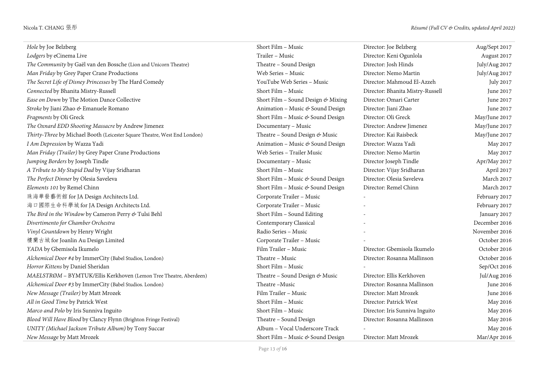| Hole by Joe Belzberg                                                      | Short Film - Music                 | Director: Joe Belzberg           | Aug/Sept 2017 |
|---------------------------------------------------------------------------|------------------------------------|----------------------------------|---------------|
| Lodgers by eCinema Live                                                   | Trailer - Music                    | Director: Keni Ogunlola          | August 2017   |
| The Community by Gaël van den Bossche (Lion and Unicorn Theatre)          | Theatre - Sound Design             | Director: Josh Hinds             | July/Aug 2017 |
| Man Friday by Grey Paper Crane Productions                                | Web Series - Music                 | Director: Nemo Martin            | July/Aug 2017 |
| The Secret Life of Disney Princesses by The Hard Comedy                   | YouTube Web Series - Music         | Director: Mahmoud El-Azzeh       | July 2017     |
| Connected by Bhanita Mistry-Russell                                       | Short Film - Music                 | Director: Bhanita Mistry-Russell | June 2017     |
| Ease on Down by The Motion Dance Collective                               | Short Film - Sound Design & Mixing | Director: Omari Carter           | June 2017     |
| Stroke by Jiani Zhao & Emanuele Romano                                    | Animation - Music & Sound Design   | Director: Jiani Zhao             | June 2017     |
| Fragments by Oli Greck                                                    | Short Film - Music & Sound Design  | Director: Oli Greck              | May/June 2017 |
| The Oxnard EDD Shooting Massacre by Andrew Jimenez                        | Documentary - Music                | Director: Andrew Jimenez         | May/June 2017 |
| Thirty-Three by Michael Booth (Leicester Square Theatre, West End London) | Theatre - Sound Design & Music     | Director: Kai Raisbeck           | May/June 2017 |
| I Am Depression by Wazza Yadi                                             | Animation - Music & Sound Design   | Director: Wazza Yadi             | May 2017      |
| Man Friday (Trailer) by Grey Paper Crane Productions                      | Web Series - Trailer Music         | Director: Nemo Martin            | May 2017      |
| Jumping Borders by Joseph Tindle                                          | Documentary - Music                | Director Joseph Tindle           | Apr/May 2017  |
| A Tribute to My Stupid Dad by Vijay Sridharan                             | Short Film - Music                 | Director: Vijay Sridharan        | April 2017    |
| The Perfect Dinner by Olesia Saveleva                                     | Short Film - Music & Sound Design  | Director: Olesia Saveleva        | March 2017    |
| Elements 101 by Remel Chinn                                               | Short Film - Music & Sound Design  | Director: Remel Chinn            | March 2017    |
| 珠海華發藝術館 for JA Design Architects Ltd.                                     | Corporate Trailer - Music          |                                  | February 2017 |
| 海口國際生命科學城 for JA Design Architects Ltd.                                   | Corporate Trailer - Music          |                                  | February 2017 |
| The Bird in the Window by Cameron Perry & Tulsi Behl                      | Short Film - Sound Editing         |                                  | January 2017  |
| Divertimento for Chamber Orchestra                                        | Contemporary Classical             |                                  | December 2016 |
| Vinyl Countdown by Henry Wright                                           | Radio Series - Music               |                                  | November 2016 |
| 樓蘭古城 for Joanlin Au Design Limited                                        | Corporate Trailer - Music          |                                  | October 2016  |
| YADA by Gbemisola Ikumelo                                                 | Film Trailer - Music               | Director: Gbemisola Ikumelo      | October 2016  |
| Alchemical Door #4 by ImmerCity (Babel Studios, London)                   | Theatre - Music                    | Director: Rosanna Mallinson      | October 2016  |
| Horror Kittens by Daniel Sheridan                                         | Short Film - Music                 |                                  | Sep/Oct 2016  |
| MAELSTRØM - BYMTUK/Ellis Kerkhoven (Lemon Tree Theatre, Aberdeen)         | Theatre - Sound Design & Music     | Director: Ellis Kerkhoven        | Jul/Aug 2016  |
| Alchemical Door #3 by ImmerCity (Babel Studios. London)                   | Theatre-Music                      | Director: Rosanna Mallinson      | June 2016     |
| New Message (Trailer) by Matt Mrozek                                      | Film Trailer - Music               | Director: Matt Mrozek            | June 2016     |
| All in Good Time by Patrick West                                          | Short Film - Music                 | Director: Patrick West           | May 2016      |
| Marco and Polo by Iris Sunniva Inguito                                    | Short Film - Music                 | Director: Iris Sunniva Inguito   | May 2016      |
| Blood Will Have Blood by Clancy Flynn (Brighton Fringe Festival)          | Theatre - Sound Design             | Director: Rosanna Mallinson      | May 2016      |
| UNITY (Michael Jackson Tribute Album) by Tony Succar                      | Album - Vocal Underscore Track     |                                  | May 2016      |
| New Message by Matt Mrozek                                                | Short Film - Music & Sound Design  | Director: Matt Mrozek            | Mar/Apr 2016  |

Page 13 *of* **16**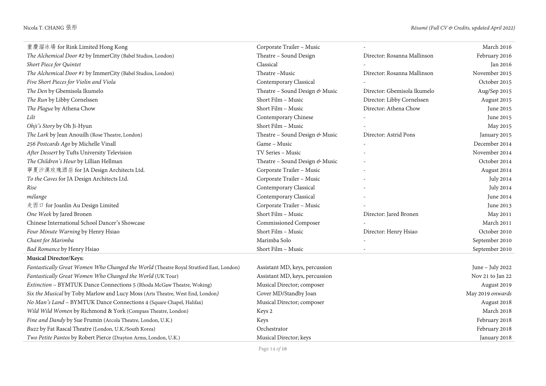| 重慶溜冰場 for Rink Limited Hong Kong                                                       | Corporate Trailer - Music      |                             | March 2016       |
|----------------------------------------------------------------------------------------|--------------------------------|-----------------------------|------------------|
| The Alchemical Door #2 by ImmerCity (Babel Studios, London)                            | Theatre - Sound Design         | Director: Rosanna Mallinson | February 2016    |
| Short Piece for Quintet                                                                | Classical                      |                             | Jan 2016         |
| The Alchemical Door #1 by ImmerCity (Babel Studios, London)                            | Theatre-Music                  | Director: Rosanna Mallinson | November 2015    |
| Five Short Pieces for Violin and Viola                                                 | Contemporary Classical         |                             | October 2015     |
| The Den by Gbemisola Ikumelo                                                           | Theatre - Sound Design & Music | Director: Gbemisola Ikumelo | Aug/Sep 2015     |
| The Run by Libby Cornelssen                                                            | Short Film - Music             | Director: Libby Cornelssen  | August 2015      |
| The Plague by Athena Chow                                                              | Short Film - Music             | Director: Athena Chow       | June 2015        |
| Lilt                                                                                   | Contemporary Chinese           |                             | June 2015        |
| Ohji's Story by Oh Ji-Hyun                                                             | Short Film - Music             |                             | May 2015         |
| The Lark by Jean Anouilh (Rose Theatre, London)                                        | Theatre - Sound Design & Music | Director: Astrid Pons       | January 2015     |
| 256 Postcards Ago by Michelle Vinall                                                   | Game - Music                   |                             | December 2014    |
| After Dessert by Tufts University Television                                           | TV Series - Music              |                             | November 2014    |
| The Children's Hour by Lillian Hellman                                                 | Theatre - Sound Design & Music |                             | October 2014     |
| 寧夏沙漠玫瑰酒店 for JA Design Architects Ltd.                                                 | Corporate Trailer - Music      |                             | August 2014      |
| To the Caves for JA Design Architects Ltd.                                             | Corporate Trailer - Music      |                             | July 2014        |
| Rise                                                                                   | Contemporary Classical         |                             | <b>July 2014</b> |
| mélange                                                                                | Contemporary Classical         |                             | June 2014        |
| 走西口 for Joanlin Au Design Limited                                                      | Corporate Trailer - Music      |                             | June 2013        |
| One Week by Jared Bronen                                                               | Short Film - Music             | Director: Jared Bronen      | May 2011         |
| Chinese International School Dancer's Showcase                                         | Commissioned Composer          |                             | March 2011       |
| Four Minute Warning by Henry Hsiao                                                     | Short Film - Music             | Director: Henry Hsiao       | October 2010     |
| Chant for Marimba                                                                      | Marimba Solo                   |                             | September 2010   |
| Bad Romance by Henry Hsiao                                                             | Short Film - Music             |                             | September 2010   |
| <b>Musical Director/Keys:</b>                                                          |                                |                             |                  |
| Fantastically Great Women Who Changed the World (Theatre Royal Stratford East, London) | Assistant MD, keys, percussion |                             | June - July 2022 |
| Fantastically Great Women Who Changed the World (UK Tour)                              | Assistant MD, keys, percussion |                             | Nov 21 to Jan 22 |
| Extinction - BYMTUK Dance Connections 5 (Rhoda McGaw Theatre, Woking)                  | Musical Director; composer     |                             | August 2019      |
| Six the Musical by Toby Marlow and Lucy Moss (Arts Theatre, West End, London)          | Cover MD/Standby Joan          |                             | May 2019 onwards |
| No Man's Land - BYMTUK Dance Connections 4 (Square Chapel, Halifax)                    | Musical Director; composer     |                             | August 2018      |
| Wild Wild Women by Richmond & York (Compass Theatre, London)                           | Keys 2                         |                             | March 2018       |
| Fine and Dandy by Sue Frumin (Arcola Theatre, London, U.K.)                            | Keys                           |                             | February 2018    |
| Buzz by Fat Rascal Theatre (London, U.K./South Korea)                                  | Orchestrator                   |                             | February 2018    |
| Two Petite Pantos by Robert Pierce (Drayton Arms, London, U.K.)                        | Musical Director; keys         |                             | January 2018     |

Page 14 *of* **16**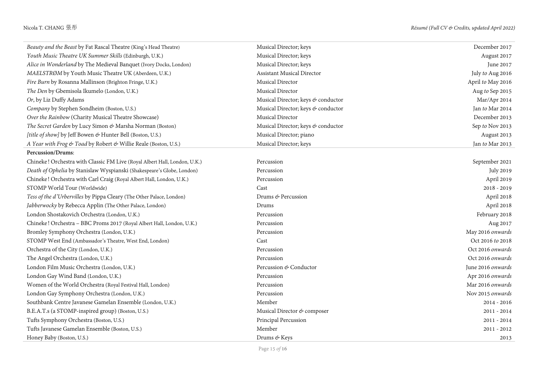| Beauty and the Beast by Fat Rascal Theatre (King's Head Theatre)          | Musical Director; keys             | December 2017     |
|---------------------------------------------------------------------------|------------------------------------|-------------------|
| Youth Music Theatre UK Summer Skills (Edinburgh, U.K.)                    | Musical Director; keys             | August 2017       |
| Alice in Wonderland by The Medieval Banquet (Ivory Docks, London)         | Musical Director; keys             | June 2017         |
| MAELSTRØM by Youth Music Theatre UK (Aberdeen, U.K.)                      | <b>Assistant Musical Director</b>  | July to Aug 2016  |
| Fire Burn by Rosanna Mallinson (Brighton Fringe, U.K.)                    | Musical Director                   | April to May 2016 |
| The Den by Gbemisola Ikumelo (London, U.K.)                               | Musical Director                   | Aug to Sep 2015   |
| Or, by Liz Duffy Adams                                                    | Musical Director; keys & conductor | Mar/Apr 2014      |
| Company by Stephen Sondheim (Boston, U.S.)                                | Musical Director; keys & conductor | Jan to Mar 2014   |
| Over the Rainbow (Charity Musical Theatre Showcase)                       | Musical Director                   | December 2013     |
| The Secret Garden by Lucy Simon & Marsha Norman (Boston)                  | Musical Director; keys & conductor | Sep to Nov 2013   |
| [title of show] by Jeff Bowen & Hunter Bell (Boston, U.S.)                | Musical Director; piano            | August 2013       |
| A Year with Frog & Toad by Robert & Willie Reale (Boston, U.S.)           | Musical Director; keys             | Jan to Mar 2013   |
| Percussion/Drums:                                                         |                                    |                   |
| Chineke! Orchestra with Classic FM Live (Royal Albert Hall, London, U.K.) | Percussion                         | September 2021    |
| Death of Ophelia by Stanislaw Wyspianski (Shakespeare's Globe, London)    | Percussion                         | <b>July 2019</b>  |
| Chineke! Orchestra with Carl Craig (Royal Albert Hall, London, U.K.)      | Percussion                         | April 2019        |
| STOMP World Tour (Worldwide)                                              | Cast                               | $2018 - 2019$     |
| Tess of the d'Urbervilles by Pippa Cleary (The Other Palace, London)      | Drums & Percussion                 | April 2018        |
| Jabberwocky by Rebecca Applin (The Other Palace, London)                  | Drums                              | April 2018        |
| London Shostakovich Orchestra (London, U.K.)                              | Percussion                         | February 2018     |
| Chineke! Orchestra - BBC Proms 2017 (Royal Albert Hall, London, U.K.)     | Percussion                         | Aug 2017          |
| Bromley Symphony Orchestra (London, U.K.)                                 | Percussion                         | May 2016 onwards  |
| STOMP West End (Ambassador's Theatre, West End, London)                   | Cast                               | Oct 2016 to 2018  |
| Orchestra of the City (London, U.K.)                                      | Percussion                         | Oct 2016 onwards  |
| The Angel Orchestra (London, U.K.)                                        | Percussion                         | Oct 2016 onwards  |
| London Film Music Orchestra (London, U.K.)                                | Percussion & Conductor             | June 2016 onwards |
| London Gay Wind Band (London, U.K.)                                       | Percussion                         | Apr 2016 onwards  |
| Women of the World Orchestra (Royal Festival Hall, London)                | Percussion                         | Mar 2016 onwards  |
| London Gay Symphony Orchestra (London, U.K.)                              | Percussion                         | Nov 2015 onwards  |
| Southbank Centre Javanese Gamelan Ensemble (London, U.K.)                 | Member                             | $2014 - 2016$     |
| B.E.A.T.s (a STOMP-inspired group) (Boston, U.S.)                         | Musical Director & composer        | $2011 - 2014$     |
| Tufts Symphony Orchestra (Boston, U.S.)                                   | Principal Percussion               | $2011 - 2014$     |
| Tufts Javanese Gamelan Ensemble (Boston, U.S.)                            | Member                             | $2011 - 2012$     |
| Honey Baby (Boston, U.S.)                                                 | Drums & Keys                       | 2013              |

Page 15 *of* **16**